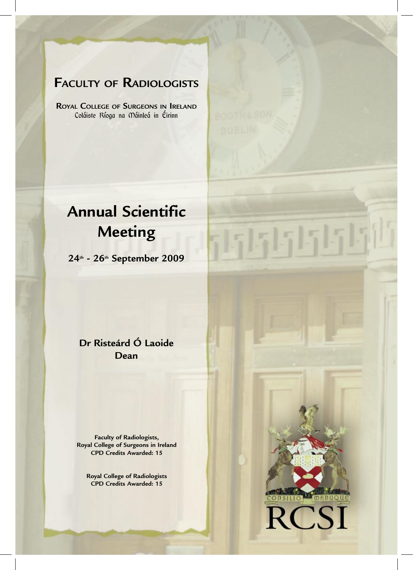### **FACULTY OF RADIOLOGISTS**

**ROYAL COLLEGE OF SURGEONS IN IRELAND** Coláiste Ríoga na Máinleá in Éirinn

# **Annual Scientific Meeting**

**24th - 26th September 2009**

**Dr Risteárd Ó Laoide Dean** 

**Faculty of Radiologists, Royal College of Surgeons in Ireland CPD Credits Awarded: 15**

**Royal College of Radiologists CPD Credits Awarded: 15**



 $555515151$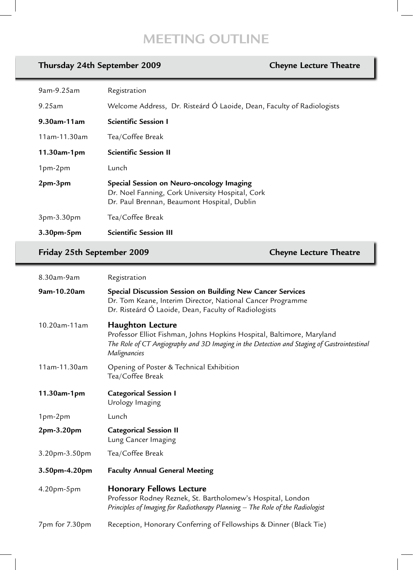### **MEETING OUTLINE**

### **Thursday 24th September 2009 Cheyne Lecture Theatre**

| 9am-9.25am     | Registration                                                                                                                                 |
|----------------|----------------------------------------------------------------------------------------------------------------------------------------------|
| 9.25am         | Welcome Address, Dr. Risteárd Ó Laoide, Dean, Faculty of Radiologists                                                                        |
| 9.30am-11am    | <b>Scientific Session I</b>                                                                                                                  |
| 11am-11.30am   | Tea/Coffee Break                                                                                                                             |
| $11.30$ am-1pm | <b>Scientific Session II</b>                                                                                                                 |
| $1pm-2pm$      | Lunch                                                                                                                                        |
| 2pm-3pm        | Special Session on Neuro-oncology Imaging<br>Dr. Noel Fanning, Cork University Hospital, Cork<br>Dr. Paul Brennan, Beaumont Hospital, Dublin |
| 3pm-3.30pm     | Tea/Coffee Break                                                                                                                             |
| 3.30pm-5pm     | <b>Scientific Session III</b>                                                                                                                |

### **Friday 25th September 2009 Cheyne Lecture Theatre**

| 8.30am-9am     | Registration                                                                                                                                                                                                   |
|----------------|----------------------------------------------------------------------------------------------------------------------------------------------------------------------------------------------------------------|
| 9am-10.20am    | Special Discussion Session on Building New Cancer Services<br>Dr. Tom Keane, Interim Director, National Cancer Programme<br>Dr. Risteárd Ó Laoide, Dean, Faculty of Radiologists                               |
| 10.20am-11am   | <b>Haughton Lecture</b><br>Professor Elliot Fishman, Johns Hopkins Hospital, Baltimore, Maryland<br>The Role of CT Angiography and 3D Imaging in the Detection and Staging of Gastrointestinal<br>Malignancies |
| 11am-11.30am   | Opening of Poster & Technical Exhibition<br>Tea/Coffee Break                                                                                                                                                   |
| 11.30am-1pm    | <b>Categorical Session I</b><br>Urology Imaging                                                                                                                                                                |
| 1pm-2pm        | Lunch                                                                                                                                                                                                          |
| 2pm-3.20pm     | <b>Categorical Session II</b><br>Lung Cancer Imaging                                                                                                                                                           |
| 3.20pm-3.50pm  | Tea/Coffee Break                                                                                                                                                                                               |
| 3.50pm-4.20pm  | <b>Faculty Annual General Meeting</b>                                                                                                                                                                          |
| 4.20pm-5pm     | <b>Honorary Fellows Lecture</b><br>Professor Rodney Reznek, St. Bartholomew's Hospital, London<br>Principles of Imaging for Radiotherapy Planning - The Role of the Radiologist                                |
| 7pm for 7.30pm | Reception, Honorary Conferring of Fellowships & Dinner (Black Tie)                                                                                                                                             |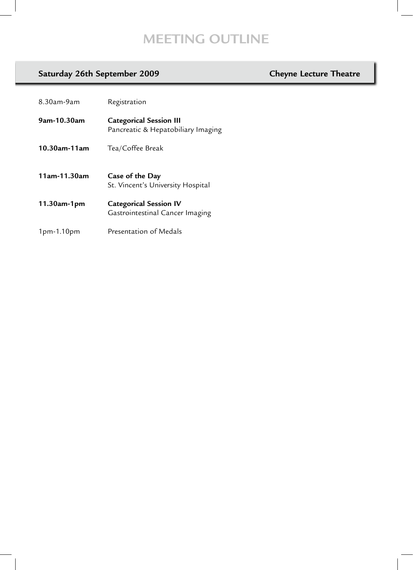## **MEETING OUTLINE**

### Saturday 26th September 2009 **Cheyne Lecture Theatre**

| 8.30am-9am        | Registration                                                         |
|-------------------|----------------------------------------------------------------------|
| 9am-10.30am       | <b>Categorical Session III</b><br>Pancreatic & Hepatobiliary Imaging |
| $10.30$ am-11am   | Tea/Coffee Break                                                     |
| 11am-11.30am      | Case of the Day<br>St. Vincent's University Hospital                 |
|                   |                                                                      |
| $11.30$ am-1 $pm$ | <b>Categorical Session IV</b><br>Gastrointestinal Cancer Imaging     |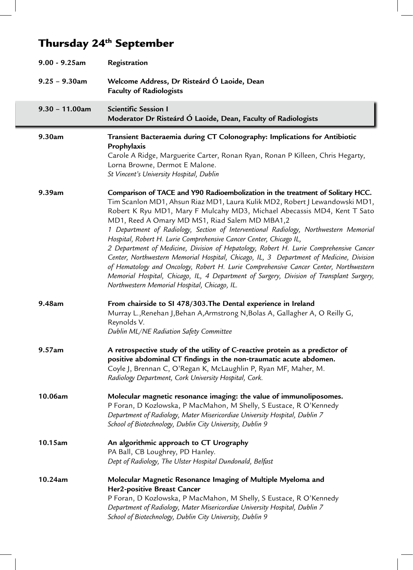# Thursday 24<sup>th</sup> September

| $9.00 - 9.25$ am  | Registration                                                                                                                                                                                                                                                                                                                                                                                                                                                                                                                                                                                                                                                                                                                                                                                                                                                                         |
|-------------------|--------------------------------------------------------------------------------------------------------------------------------------------------------------------------------------------------------------------------------------------------------------------------------------------------------------------------------------------------------------------------------------------------------------------------------------------------------------------------------------------------------------------------------------------------------------------------------------------------------------------------------------------------------------------------------------------------------------------------------------------------------------------------------------------------------------------------------------------------------------------------------------|
| $9.25 - 9.30$ am  | Welcome Address, Dr Risteárd Ó Laoide, Dean<br><b>Faculty of Radiologists</b>                                                                                                                                                                                                                                                                                                                                                                                                                                                                                                                                                                                                                                                                                                                                                                                                        |
| $9.30 - 11.00$ am | <b>Scientific Session I</b><br>Moderator Dr Risteárd Ó Laoide, Dean, Faculty of Radiologists                                                                                                                                                                                                                                                                                                                                                                                                                                                                                                                                                                                                                                                                                                                                                                                         |
| 9.30am            | Transient Bacteraemia during CT Colonography: Implications for Antibiotic<br>Prophylaxis<br>Carole A Ridge, Marguerite Carter, Ronan Ryan, Ronan P Killeen, Chris Hegarty,<br>Lorna Browne, Dermot E Malone.<br>St Vincent's University Hospital, Dublin                                                                                                                                                                                                                                                                                                                                                                                                                                                                                                                                                                                                                             |
| 9.39am            | Comparison of TACE and Y90 Radioembolization in the treatment of Solitary HCC.<br>Tim Scanlon MD1, Ahsun Riaz MD1, Laura Kulik MD2, Robert J Lewandowski MD1,<br>Robert K Ryu MD1, Mary F Mulcahy MD3, Michael Abecassis MD4, Kent T Sato<br>MD1, Reed A Omary MD MS1, Riad Salem MD MBA1,2<br>1 Department of Radiology, Section of Interventional Radiology, Northwestern Memorial<br>Hospital, Robert H. Lurie Comprehensive Cancer Center, Chicago IL,<br>2 Department of Medicine, Division of Hepatology, Robert H. Lurie Comprehensive Cancer<br>Center, Northwestern Memorial Hospital, Chicago, IL, 3 Department of Medicine, Division<br>of Hematology and Oncology, Robert H. Lurie Comprehensive Cancer Center, Northwestern<br>Memorial Hospital, Chicago, IL, 4 Department of Surgery, Division of Transplant Surgery,<br>Northwestern Memorial Hospital, Chicago, IL. |
| 9.48am            | From chairside to SI 478/303. The Dental experience in Ireland<br>Murray L., Renehan J, Behan A, Armstrong N, Bolas A, Gallagher A, O Reilly G,<br>Reynolds V.<br>Dublin ML/NE Radiation Safety Committee                                                                                                                                                                                                                                                                                                                                                                                                                                                                                                                                                                                                                                                                            |
| 9.57am            | A retrospective study of the utility of C-reactive protein as a predictor of<br>positive abdominal CT findings in the non-traumatic acute abdomen.<br>Coyle J, Brennan C, O'Regan K, McLaughlin P, Ryan MF, Maher, M.<br>Radiology Department, Cork University Hospital, Cork.                                                                                                                                                                                                                                                                                                                                                                                                                                                                                                                                                                                                       |
| 10.06am           | Molecular magnetic resonance imaging: the value of immunoliposomes.<br>P Foran, D Kozlowska, P MacMahon, M Shelly, S Eustace, R O'Kennedy<br>Department of Radiology, Mater Misericordiae University Hospital, Dublin 7<br>School of Biotechnology, Dublin City University, Dublin 9                                                                                                                                                                                                                                                                                                                                                                                                                                                                                                                                                                                                 |
| 10.15am           | An algorithmic approach to CT Urography<br>PA Ball, CB Loughrey, PD Hanley.<br>Dept of Radiology, The Ulster Hospital Dundonald, Belfast                                                                                                                                                                                                                                                                                                                                                                                                                                                                                                                                                                                                                                                                                                                                             |
| 10.24am           | Molecular Magnetic Resonance Imaging of Multiple Myeloma and<br>Her2-positive Breast Cancer<br>P Foran, D Kozlowska, P MacMahon, M Shelly, S Eustace, R O'Kennedy<br>Department of Radiology, Mater Misericordiae University Hospital, Dublin 7<br>School of Biotechnology, Dublin City University, Dublin 9                                                                                                                                                                                                                                                                                                                                                                                                                                                                                                                                                                         |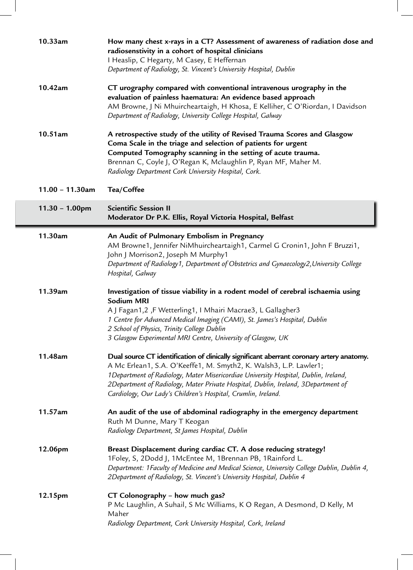| 10.33am            | How many chest x-rays in a CT? Assessment of awareness of radiation dose and<br>radiosenstivity in a cohort of hospital clinicians<br>I Heaslip, C Hegarty, M Casey, E Heffernan<br>Department of Radiology, St. Vincent's University Hospital, Dublin                                                                                                                                                      |
|--------------------|-------------------------------------------------------------------------------------------------------------------------------------------------------------------------------------------------------------------------------------------------------------------------------------------------------------------------------------------------------------------------------------------------------------|
| 10.42am            | CT urography compared with conventional intravenous urography in the<br>evaluation of painless haematura: An evidence based approach<br>AM Browne, J Ni Mhuircheartaigh, H Khosa, E Kelliher, C O'Riordan, I Davidson<br>Department of Radiology, University College Hospital, Galway                                                                                                                       |
| 10.51am            | A retrospective study of the utility of Revised Trauma Scores and Glasgow<br>Coma Scale in the triage and selection of patients for urgent<br>Computed Tomography scanning in the setting of acute trauma.<br>Brennan C, Coyle J, O'Regan K, Mclaughlin P, Ryan MF, Maher M.<br>Radiology Department Cork University Hospital, Cork.                                                                        |
| $11.00 - 11.30$ am | Tea/Coffee                                                                                                                                                                                                                                                                                                                                                                                                  |
| $11.30 - 1.00$ pm  | <b>Scientific Session II</b><br>Moderator Dr P.K. Ellis, Royal Victoria Hospital, Belfast                                                                                                                                                                                                                                                                                                                   |
| 11.30am            | An Audit of Pulmonary Embolism in Pregnancy<br>AM Browne1, Jennifer NiMhuircheartaigh1, Carmel G Cronin1, John F Bruzzi1,<br>John J Morrison2, Joseph M Murphy1<br>Department of Radiology1, Department of Obstetrics and Gynaecology2, University College<br>Hospital, Galway                                                                                                                              |
| 11.39am            | Investigation of tissue viability in a rodent model of cerebral ischaemia using<br><b>Sodium MRI</b><br>A J Fagan1,2, F Wetterling1, I Mhairi Macrae3, L Gallagher3<br>1 Centre for Advanced Medical Imaging (CAMI), St. James's Hospital, Dublin<br>2 School of Physics, Trinity College Dublin<br>3 Glasgow Experimental MRI Centre, University of Glasgow, UK                                            |
| 11.48am            | Dual source CT identification of clinically significant aberrant coronary artery anatomy.<br>A Mc Erlean1, S.A. O'Keeffe1, M. Smyth2, K. Walsh3, L.P. Lawler1;<br>1Department of Radiology, Mater Misericordiae University Hospital, Dublin, Ireland,<br>2Department of Radiology, Mater Private Hospital, Dublin, Ireland, 3Department of<br>Cardiology, Our Lady's Children's Hospital, Crumlin, Ireland. |
| 11.57am            | An audit of the use of abdominal radiography in the emergency department<br>Ruth M Dunne, Mary T Keogan<br>Radiology Department, St James Hospital, Dublin                                                                                                                                                                                                                                                  |
| 12.06pm            | Breast Displacement during cardiac CT. A dose reducing strategy!<br>1Foley, S, 2Dodd J, 1McEntee M, 1Brennan PB, 1Rainford L.<br>Department: 1 Faculty of Medicine and Medical Science, University College Dublin, Dublin 4,<br>2Department of Radiology, St. Vincent's University Hospital, Dublin 4                                                                                                       |
| 12.15pm            | CT Colonography - how much gas?<br>P Mc Laughlin, A Suhail, S Mc Williams, K O Regan, A Desmond, D Kelly, M<br>Maher<br>Radiology Department, Cork University Hospital, Cork, Ireland                                                                                                                                                                                                                       |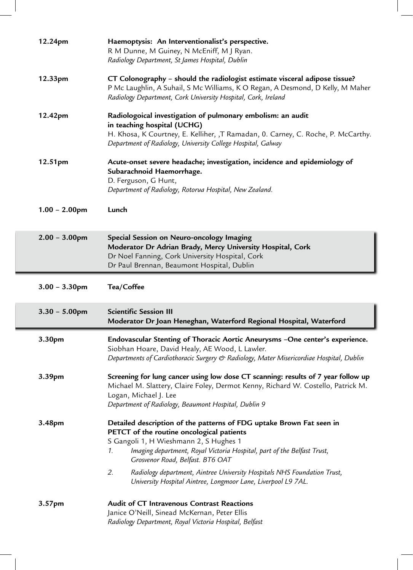| 12.24pm          | Haemoptysis: An Interventionalist's perspective.<br>R M Dunne, M Guiney, N McEniff, M J Ryan.<br>Radiology Department, St James Hospital, Dublin                                                                                                                                 |
|------------------|----------------------------------------------------------------------------------------------------------------------------------------------------------------------------------------------------------------------------------------------------------------------------------|
| 12.33pm          | CT Colonography - should the radiologist estimate visceral adipose tissue?<br>P Mc Laughlin, A Suhail, S Mc Williams, K O Regan, A Desmond, D Kelly, M Maher<br>Radiology Department, Cork University Hospital, Cork, Ireland                                                    |
| 12.42pm          | Radiologoical investigation of pulmonary embolism: an audit<br>in teaching hospital (UCHG)<br>H. Khosa, K Courtney, E. Kelliher, ,T Ramadan, 0. Carney, C. Roche, P. McCarthy.<br>Department of Radiology, University College Hospital, Galway                                   |
| 12.51pm          | Acute-onset severe headache; investigation, incidence and epidemiology of<br>Subarachnoid Haemorrhage.<br>D. Ferguson, G Hunt,<br>Department of Radiology, Rotorua Hospital, New Zealand.                                                                                        |
| $1.00 - 2.00$ pm | Lunch                                                                                                                                                                                                                                                                            |
| $2.00 - 3.00$ pm | Special Session on Neuro-oncology Imaging<br>Moderator Dr Adrian Brady, Mercy University Hospital, Cork<br>Dr Noel Fanning, Cork University Hospital, Cork<br>Dr Paul Brennan, Beaumont Hospital, Dublin                                                                         |
|                  |                                                                                                                                                                                                                                                                                  |
| $3.00 - 3.30$ pm | Tea/Coffee                                                                                                                                                                                                                                                                       |
| $3.30 - 5.00$ pm | <b>Scientific Session III</b><br>Moderator Dr Joan Heneghan, Waterford Regional Hospital, Waterford                                                                                                                                                                              |
| 3.30pm           | Endovascular Stenting of Thoracic Aortic Aneurysms -One center's experience.<br>Siobhan Hoare, David Healy, AE Wood, L Lawler.<br>Departments of Cardiothoracic Surgery & Radiology, Mater Misericordiae Hospital, Dublin                                                        |
| 3.39pm           | Screening for lung cancer using low dose CT scanning: results of 7 year follow up<br>Michael M. Slattery, Claire Foley, Dermot Kenny, Richard W. Costello, Patrick M.<br>Logan, Michael J. Lee<br>Department of Radiology, Beaumont Hospital, Dublin 9                           |
| 3.48pm           | Detailed description of the patterns of FDG uptake Brown Fat seen in<br>PETCT of the routine oncological patients<br>S Gangoli 1, H Wieshmann 2, S Hughes 1<br>Imaging department, Royal Victoria Hospital, part of the Belfast Trust,<br>1.<br>Grosvenor Road, Belfast. BT6 OAT |
|                  | 2.<br>Radiology department, Aintree University Hospitals NHS Foundation Trust,<br>University Hospital Aintree, Longmoor Lane, Liverpool L9 7AL.                                                                                                                                  |

 $\overline{\phantom{a}}$ 

 $^{-}$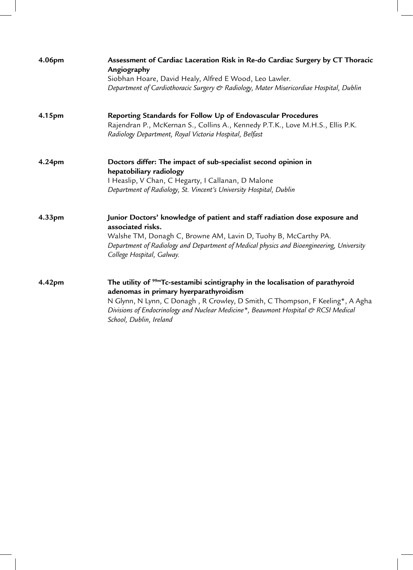| 4.06pm | Assessment of Cardiac Laceration Risk in Re-do Cardiac Surgery by CT Thoracic<br>Angiography<br>Siobhan Hoare, David Healy, Alfred E Wood, Leo Lawler.<br>Department of Cardiothoracic Surgery & Radiology, Mater Misericordiae Hospital, Dublin                                                                                       |
|--------|----------------------------------------------------------------------------------------------------------------------------------------------------------------------------------------------------------------------------------------------------------------------------------------------------------------------------------------|
| 4.15pm | Reporting Standards for Follow Up of Endovascular Procedures<br>Rajendran P., McKernan S., Collins A., Kennedy P.T.K., Love M.H.S., Ellis P.K.<br>Radiology Department, Royal Victoria Hospital, Belfast                                                                                                                               |
| 4.24pm | Doctors differ: The impact of sub-specialist second opinion in<br>hepatobiliary radiology<br>I Heaslip, V Chan, C Hegarty, I Callanan, D Malone<br>Department of Radiology, St. Vincent's University Hospital, Dublin                                                                                                                  |
| 4.33pm | Junior Doctors' knowledge of patient and staff radiation dose exposure and<br>associated risks.<br>Walshe TM, Donagh C, Browne AM, Lavin D, Tuohy B, McCarthy PA.<br>Department of Radiology and Department of Medical physics and Bioengineering, University<br>College Hospital, Galway.                                             |
| 4.42pm | The utility of <sup>99m</sup> Tc-sestamibi scintigraphy in the localisation of parathyroid<br>adenomas in primary hyerparathyroidism<br>N Glynn, N Lynn, C Donagh, R Crowley, D Smith, C Thompson, F Keeling*, A Agha<br>Divisions of Endocrinology and Nuclear Medicine*, Beaumont Hospital & RCSI Medical<br>School, Dublin, Ireland |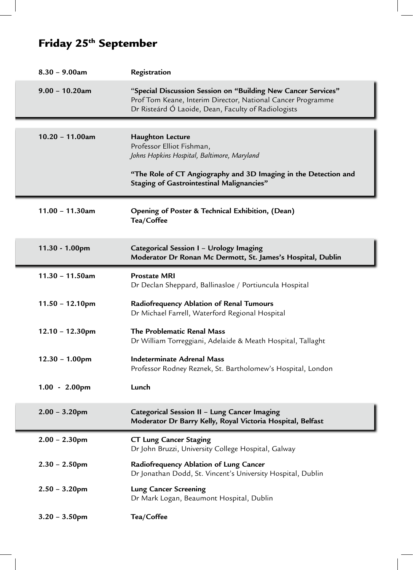# Friday 25th September

| $8.30 - 9.00$ am   | Registration                                                                                                                                                                        |
|--------------------|-------------------------------------------------------------------------------------------------------------------------------------------------------------------------------------|
| $9.00 - 10.20$ am  | "Special Discussion Session on "Building New Cancer Services"<br>Prof Tom Keane, Interim Director, National Cancer Programme<br>Dr Risteárd Ó Laoide, Dean, Faculty of Radiologists |
|                    |                                                                                                                                                                                     |
| $10.20 - 11.00$ am | <b>Haughton Lecture</b><br>Professor Elliot Fishman,<br>Johns Hopkins Hospital, Baltimore, Maryland                                                                                 |
|                    | "The Role of CT Angiography and 3D Imaging in the Detection and<br><b>Staging of Gastrointestinal Malignancies"</b>                                                                 |
| $11.00 - 11.30$ am | Opening of Poster & Technical Exhibition, (Dean)<br>Tea/Coffee                                                                                                                      |
| 11.30 - 1.00pm     | Categorical Session I - Urology Imaging<br>Moderator Dr Ronan Mc Dermott, St. James's Hospital, Dublin                                                                              |
| $11.30 - 11.50$ am | <b>Prostate MRI</b><br>Dr Declan Sheppard, Ballinasloe / Portiuncula Hospital                                                                                                       |
| $11.50 - 12.10$ pm | Radiofrequency Ablation of Renal Tumours<br>Dr Michael Farrell, Waterford Regional Hospital                                                                                         |
| $12.10 - 12.30$ pm | The Problematic Renal Mass<br>Dr William Torreggiani, Adelaide & Meath Hospital, Tallaght                                                                                           |
| $12.30 - 1.00$ pm  | <b>Indeterminate Adrenal Mass</b><br>Professor Rodney Reznek, St. Bartholomew's Hospital, London                                                                                    |
| $1.00 - 2.00$ pm   | Lunch                                                                                                                                                                               |
| $2.00 - 3.20$ pm   | Categorical Session II - Lung Cancer Imaging<br>Moderator Dr Barry Kelly, Royal Victoria Hospital, Belfast                                                                          |
| $2.00 - 2.30$ pm   | <b>CT Lung Cancer Staging</b><br>Dr John Bruzzi, University College Hospital, Galway                                                                                                |
| $2.30 - 2.50$ pm   | Radiofrequency Ablation of Lung Cancer<br>Dr Jonathan Dodd, St. Vincent's University Hospital, Dublin                                                                               |
| $2.50 - 3.20$ pm   | <b>Lung Cancer Screening</b><br>Dr Mark Logan, Beaumont Hospital, Dublin                                                                                                            |
| $3.20 - 3.50$ pm   | Tea/Coffee                                                                                                                                                                          |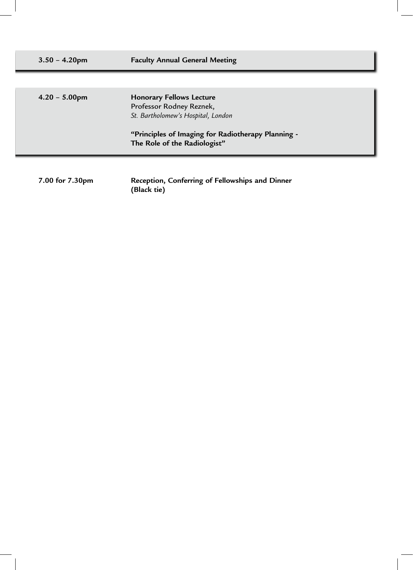| $3.50 - 4.20$ pm | <b>Faculty Annual General Meeting</b>                                                                                                                                                   |  |
|------------------|-----------------------------------------------------------------------------------------------------------------------------------------------------------------------------------------|--|
|                  |                                                                                                                                                                                         |  |
| $4.20 - 5.00$ pm | <b>Honorary Fellows Lecture</b><br>Professor Rodney Reznek,<br>St. Bartholomew's Hospital, London<br>"Principles of Imaging for Radiotherapy Planning -<br>The Role of the Radiologist" |  |
|                  |                                                                                                                                                                                         |  |

**7.00 for 7.30pm Reception, Conferring of Fellowships and Dinner (Black tie)**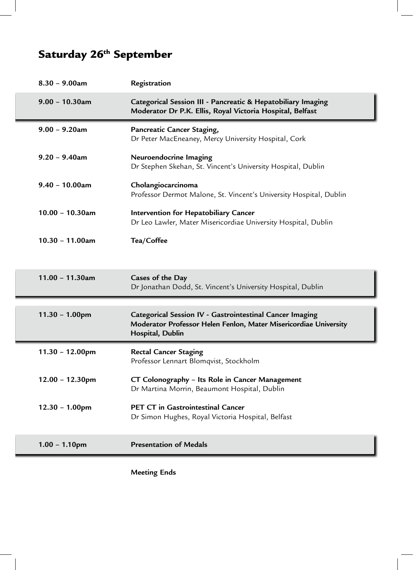# Saturday 26<sup>th</sup> September

| $8.30 - 9.00$ am   | Registration                                                                                                                                     |
|--------------------|--------------------------------------------------------------------------------------------------------------------------------------------------|
| $9.00 - 10.30$ am  | Categorical Session III - Pancreatic & Hepatobiliary Imaging<br>Moderator Dr P.K. Ellis, Royal Victoria Hospital, Belfast                        |
| $9.00 - 9.20$ am   | Pancreatic Cancer Staging,<br>Dr Peter MacEneaney, Mercy University Hospital, Cork                                                               |
| $9.20 - 9.40$ am   | Neuroendocrine Imaging<br>Dr Stephen Skehan, St. Vincent's University Hospital, Dublin                                                           |
| $9.40 - 10.00$ am  | Cholangiocarcinoma<br>Professor Dermot Malone, St. Vincent's University Hospital, Dublin                                                         |
| $10.00 - 10.30$ am | Intervention for Hepatobiliary Cancer<br>Dr Leo Lawler, Mater Misericordiae University Hospital, Dublin                                          |
| $10.30 - 11.00$ am | Tea/Coffee                                                                                                                                       |
|                    |                                                                                                                                                  |
|                    |                                                                                                                                                  |
| $11.00 - 11.30$ am | Cases of the Day<br>Dr Jonathan Dodd, St. Vincent's University Hospital, Dublin                                                                  |
| $11.30 - 1.00$ pm  | Categorical Session IV - Gastrointestinal Cancer Imaging<br>Moderator Professor Helen Fenlon, Mater Misericordiae University<br>Hospital, Dublin |
| $11.30 - 12.00$ pm | <b>Rectal Cancer Staging</b><br>Professor Lennart Blomqvist, Stockholm                                                                           |
| $12.00 - 12.30$ pm | CT Colonography - Its Role in Cancer Management<br>Dr Martina Morrin, Beaumont Hospital, Dublin                                                  |
| $12.30 - 1.00$ pm  | <b>PET CT in Gastrointestinal Cancer</b><br>Dr Simon Hughes, Royal Victoria Hospital, Belfast                                                    |

 **Meeting Ends**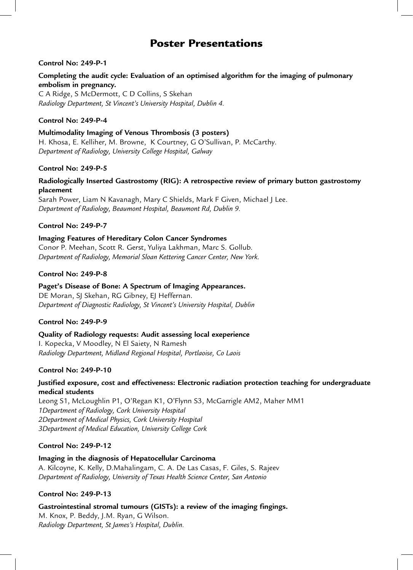### Poster Presentations

#### **Control No: 249-P-1**

#### **Completing the audit cycle: Evaluation of an optimised algorithm for the imaging of pulmonary embolism in pregnancy.**

C A Ridge, S McDermott, C D Collins, S Skehan *Radiology Department, St Vincent's University Hospital, Dublin 4.*

#### **Control No: 249-P-4**

#### **Multimodality Imaging of Venous Thrombosis (3 posters)** H. Khosa, E. Kelliher, M. Browne, K Courtney, G O'Sullivan, P. McCarthy. *Department of Radiology, University College Hospital, Galway*

#### **Control No: 249-P-5**

#### **Radiologically Inserted Gastrostomy (RIG): A retrospective review of primary button gastrostomy placement**

Sarah Power, Liam N Kavanagh, Mary C Shields, Mark F Given, Michael J Lee. *Department of Radiology, Beaumont Hospital, Beaumont Rd, Dublin 9.*

#### **Control No: 249-P-7**

#### **Imaging Features of Hereditary Colon Cancer Syndromes**

Conor P. Meehan, Scott R. Gerst, Yuliya Lakhman, Marc S. Gollub. *Department of Radiology, Memorial Sloan Kettering Cancer Center, New York.*

#### **Control No: 249-P-8**

#### **Paget's Disease of Bone: A Spectrum of Imaging Appearances.**

DE Moran, SJ Skehan, RG Gibney, EJ Heffernan. *Department of Diagnostic Radiology, St Vincent's University Hospital, Dublin* 

#### **Control No: 249-P-9**

**Quality of Radiology requests: Audit assessing local exeperience** I. Kopecka, V Moodley, N El Saiety, N Ramesh *Radiology Department, Midland Regional Hospital, Portlaoise, Co Laois*

#### **Control No: 249-P-10**

#### **Justified exposure, cost and effectiveness: Electronic radiation protection teaching for undergraduate medical students**

Leong S1, McLoughlin P1, O'Regan K1, O'Flynn S3, McGarrigle AM2, Maher MM1 *1Department of Radiology, Cork University Hospital 2Department of Medical Physics, Cork University Hospital 3Department of Medical Education, University College Cork*

#### **Control No: 249-P-12**

**Imaging in the diagnosis of Hepatocellular Carcinoma** A. Kilcoyne, K. Kelly, D.Mahalingam, C. A. De Las Casas, F. Giles, S. Rajeev *Department of Radiology, University of Texas Health Science Center, San Antonio*

#### **Control No: 249-P-13**

### **Gastrointestinal stromal tumours (GISTs): a review of the imaging fingings.** M. Knox, P. Beddy, J.M. Ryan, G Wilson.

*Radiology Department, St James's Hospital, Dublin.*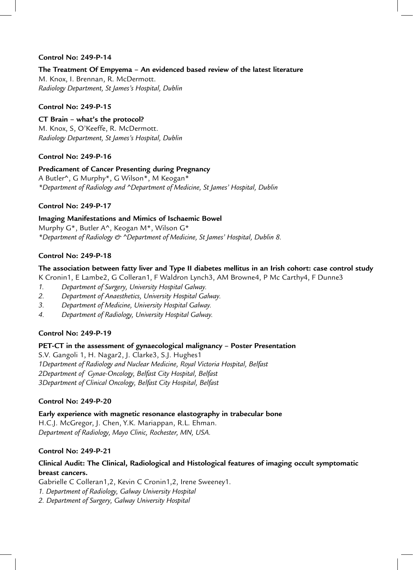#### **Control No: 249-P-14**

#### **The Treatment Of Empyema – An evidenced based review of the latest literature**

M. Knox, I. Brennan, R. McDermott. *Radiology Department, St James's Hospital, Dublin*

#### **Control No: 249-P-15**

**CT Brain – what's the protocol?** M. Knox, S, O'Keeffe, R. McDermott. *Radiology Department, St James's Hospital, Dublin*

#### **Control No: 249-P-16**

#### **Predicament of Cancer Presenting during Pregnancy** A Butler^, G Murphy\*, G Wilson\*, M Keogan\* *\*Department of Radiology and ^Department of Medicine, St James' Hospital, Dublin*

#### **Control No: 249-P-17**

#### **Imaging Manifestations and Mimics of Ischaemic Bowel**

Murphy G\*, Butler A^, Keogan M\*, Wilson G\* *\*Department of Radiology & ^Department of Medicine, St James' Hospital, Dublin 8.* 

#### **Control No: 249-P-18**

#### **The association between fatty liver and Type II diabetes mellitus in an Irish cohort: case control study**

K Cronin1, E Lambe2, G Colleran1, F Waldron Lynch3, AM Browne4, P Mc Carthy4, F Dunne3

- *1. Department of Surgery, University Hospital Galway.*
- *2. Department of Anaesthetics, University Hospital Galway.*
- *3. Department of Medicine, University Hospital Galway.*
- *4. Department of Radiology, University Hospital Galway.*

#### **Control No: 249-P-19**

#### **PET-CT in the assessment of gynaecological malignancy – Poster Presentation**

S.V. Gangoli 1, H. Nagar2, J. Clarke3, S.J. Hughes1 *1Department of Radiology and Nuclear Medicine, Royal Victoria Hospital, Belfast 2Department of Gynae-Oncology, Belfast City Hospital, Belfast 3Department of Clinical Oncology, Belfast City Hospital, Belfast*

#### **Control No: 249-P-20**

**Early experience with magnetic resonance elastography in trabecular bone** H.C.J. McGregor, J. Chen, Y.K. Mariappan, R.L. Ehman. *Department of Radiology, Mayo Clinic, Rochester, MN, USA.*

#### **Control No: 249-P-21**

#### **Clinical Audit: The Clinical, Radiological and Histological features of imaging occult symptomatic breast cancers.**

Gabrielle C Colleran1,2, Kevin C Cronin1,2, Irene Sweeney1. *1. Department of Radiology, Galway University Hospital 2. Department of Surgery, Galway University Hospital*